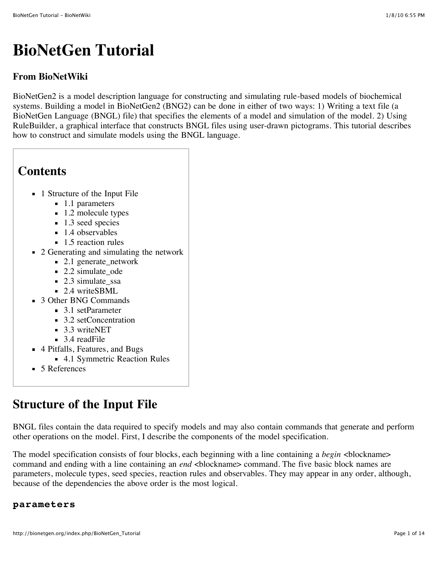# **BioNetGen Tutorial**

# **From BioNetWiki**

BioNetGen2 is a model description language for constructing and simulating rule-based models of biochemical systems. Building a model in BioNetGen2 (BNG2) can be done in either of two ways: 1) Writing a text file (a BioNetGen Language (BNGL) file) that specifies the elements of a model and simulation of the model. 2) Using RuleBuilder, a graphical interface that constructs BNGL files using user-drawn pictograms. This tutorial describes how to construct and simulate models using the BNGL language.

# **Contents** ■ 1 [Structure of the Input File](http://bionetgen.org/index.php/BioNetGen_Tutorial#Structure_of_the_Input_File) ■ 1.1 [parameters](http://bionetgen.org/index.php/BioNetGen_Tutorial#parameters) ■ 1.2 [molecule types](http://bionetgen.org/index.php/BioNetGen_Tutorial#molecule_types)  $\blacksquare$  1.3 [seed species](http://bionetgen.org/index.php/BioNetGen_Tutorial#seed_species)  $\blacksquare$  1.4 [observables](http://bionetgen.org/index.php/BioNetGen_Tutorial#observables)  $\blacksquare$  1.5 [reaction rules](http://bionetgen.org/index.php/BioNetGen_Tutorial#reaction_rules) ■ 2 [Generating and simulating the network](http://bionetgen.org/index.php/BioNetGen_Tutorial#Generating_and_simulating_the_network) ■ 2.1 [generate\\_network](http://bionetgen.org/index.php/BioNetGen_Tutorial#generate_network) ■ 2.2 [simulate\\_ode](http://bionetgen.org/index.php/BioNetGen_Tutorial#simulate_ode)  $\blacksquare$  2.3 simulate ssa ■ 2.4 [writeSBML](http://bionetgen.org/index.php/BioNetGen_Tutorial#writeSBML) ■ 3 [Other BNG Commands](http://bionetgen.org/index.php/BioNetGen_Tutorial#Other_BNG_Commands) ■ 3.1 [setParameter](http://bionetgen.org/index.php/BioNetGen_Tutorial#setParameter) ■ 3.2 [setConcentration](http://bionetgen.org/index.php/BioNetGen_Tutorial#setConcentration) ■ 3.3 [writeNET](http://bionetgen.org/index.php/BioNetGen_Tutorial#writeNET) ■ 3.4 [readFile](http://bionetgen.org/index.php/BioNetGen_Tutorial#readFile) ■ 4 [Pitfalls, Features, and Bugs](http://bionetgen.org/index.php/BioNetGen_Tutorial#Pitfalls.2C_Features.2C_and_Bugs) ■ 4.1 [Symmetric Reaction Rules](http://bionetgen.org/index.php/BioNetGen_Tutorial#Symmetric_Reaction_Rules)

■ 5 [References](http://bionetgen.org/index.php/BioNetGen_Tutorial#References)

# **Structure of the Input File**

BNGL files contain the data required to specify models and may also contain commands that generate and perform other operations on the model. First, I describe the components of the model specification.

The model specification consists of four blocks, each beginning with a line containing a *begin* <br/>blockname> command and ending with a line containing an *end* <br/>blockname> command. The five basic block names are parameters, molecule types, seed species, reaction rules and observables. They may appear in any order, although, because of the dependencies the above order is the most logical.

# **parameters**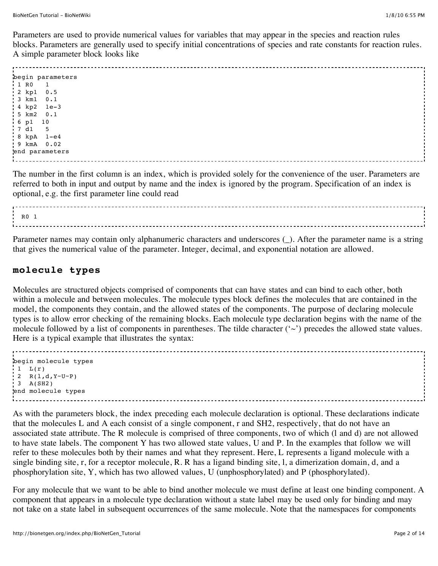Parameters are used to provide numerical values for variables that may appear in the species and reaction rules blocks. Parameters are generally used to specify initial concentrations of species and rate constants for reaction rules. A simple parameter block looks like

begin parameters 1 R0 1 2 kp1 0.5 3 km1 0.1 4 kp2 1e-3 5 km2 0.1 6 p1 10 7 d1 5 8 kpA 1-e4 9 kmA 0.02 end parameters

The number in the first column is an index, which is provided solely for the convenience of the user. Parameters are referred to both in input and output by name and the index is ignored by the program. Specification of an index is optional, e.g. the first parameter line could read

R0 1

Parameter names may contain only alphanumeric characters and underscores (\_). After the parameter name is a string that gives the numerical value of the parameter. Integer, decimal, and exponential notation are allowed.

## **molecule types**

Molecules are structured objects comprised of components that can have states and can bind to each other, both within a molecule and between molecules. The molecule types block defines the molecules that are contained in the model, the components they contain, and the allowed states of the components. The purpose of declaring molecule types is to allow error checking of the remaining blocks. Each molecule type declaration begins with the name of the molecule followed by a list of components in parentheses. The tilde character  $(\sim)$  precedes the allowed state values. Here is a typical example that illustrates the syntax:

```
begin molecule types
 1 L(r)
2 R(1, d, Y \sim U \sim P) 3 A(SH2)
end molecule types
```
As with the parameters block, the index preceding each molecule declaration is optional. These declarations indicate that the molecules L and A each consist of a single component, r and SH2, respectively, that do not have an associated state attribute. The R molecule is comprised of three components, two of which (l and d) are not allowed to have state labels. The component Y has two allowed state values, U and P. In the examples that follow we will refer to these molecules both by their names and what they represent. Here, L represents a ligand molecule with a single binding site, r, for a receptor molecule, R. R has a ligand binding site, l, a dimerization domain, d, and a phosphorylation site, Y, which has two allowed values, U (unphosphorylated) and P (phosphorylated).

For any molecule that we want to be able to bind another molecule we must define at least one binding component. A component that appears in a molecule type declaration without a state label may be used only for binding and may not take on a state label in subsequent occurrences of the same molecule. Note that the namespaces for components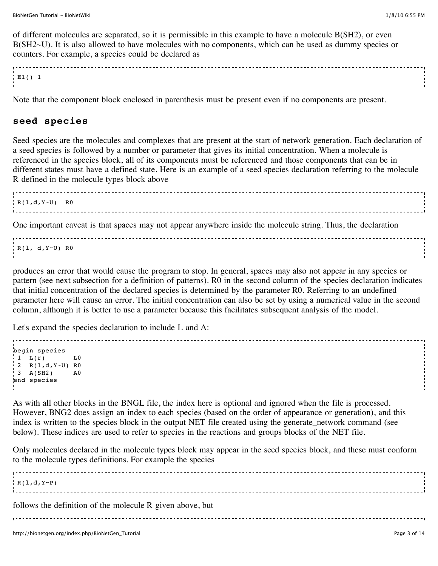of different molecules are separated, so it is permissible in this example to have a molecule B(SH2), or even B(SH2~U). It is also allowed to have molecules with no components, which can be used as dummy species or counters. For example, a species could be declared as

| . س |  |
|-----|--|
|     |  |
|     |  |

Note that the component block enclosed in parenthesis must be present even if no components are present.

## **seed species**

Seed species are the molecules and complexes that are present at the start of network generation. Each declaration of a seed species is followed by a number or parameter that gives its initial concentration. When a molecule is referenced in the species block, all of its components must be referenced and those components that can be in different states must have a defined state. Here is an example of a seed species declaration referring to the molecule R defined in the molecule types block above

```
R(1,d,Y\sim U) R0
```
One important caveat is that spaces may not appear anywhere inside the molecule string. Thus, the declaration

R(l, d,Y~U) R0

produces an error that would cause the program to stop. In general, spaces may also not appear in any species or pattern (see next subsection for a definition of patterns). R0 in the second column of the species declaration indicates that initial concentration of the declared species is determined by the parameter R0. Referring to an undefined parameter here will cause an error. The initial concentration can also be set by using a numerical value in the second column, although it is better to use a parameter because this facilitates subsequent analysis of the model.

Let's expand the species declaration to include L and A:

begin species  $1 L(r)$   $L0$ 2  $R(1, d, Y-U)$  RO  $3 A(SH2)$  A0 end species

As with all other blocks in the BNGL file, the index here is optional and ignored when the file is processed. However, BNG2 does assign an index to each species (based on the order of appearance or generation), and this index is written to the species block in the output NET file created using the generate\_network command (see below). These indices are used to refer to species in the reactions and groups blocks of the NET file.

Only molecules declared in the molecule types block may appear in the seed species block, and these must conform to the molecule types definitions. For example the species

 $R(1,d,Y-P)$ follows the definition of the molecule R given above, but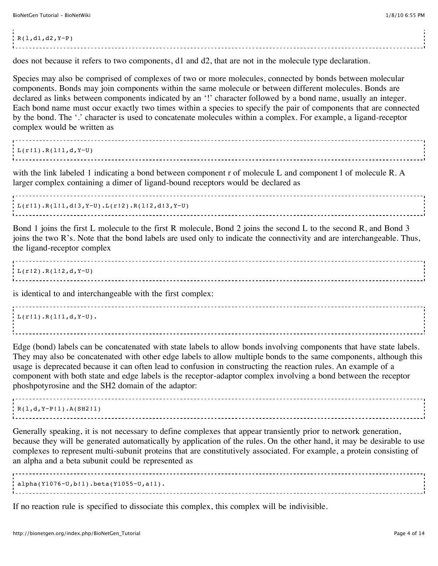#### $R(1, d1, d2, Y-P)$

does not because it refers to two components, d1 and d2, that are not in the molecule type declaration.

Species may also be comprised of complexes of two or more molecules, connected by bonds between molecular components. Bonds may join components within the same molecule or between different molecules. Bonds are declared as links between components indicated by an '!' character followed by a bond name, usually an integer. Each bond name must occur exactly two times within a species to specify the pair of components that are connected by the bond. The '.' character is used to concatenate molecules within a complex. For example, a ligand-receptor complex would be written as

 $L(r!1).R(1!1,d,Y-U)$ 

with the link labeled 1 indicating a bond between component r of molecule L and component l of molecule R. A larger complex containing a dimer of ligand-bound receptors would be declared as

 $L(r!1).R(1!1,d!3,Y-U).L(r!2).R(1!2,d!3,Y-U)$ 

Bond 1 joins the first L molecule to the first R molecule, Bond 2 joins the second L to the second R, and Bond 3 joins the two R's. Note that the bond labels are used only to indicate the connectivity and are interchangeable. Thus, the ligand-receptor complex

 $L(r!2)$ .R(1!2,d,Y~U) 

is identical to and interchangeable with the first complex:

 $L(r!1).R(1!1,d,Y-U).$ 

Edge (bond) labels can be concatenated with state labels to allow bonds involving components that have state labels. They may also be concatenated with other edge labels to allow multiple bonds to the same components, although this usage is deprecated because it can often lead to confusion in constructing the reaction rules. An example of a component with both state and edge labels is the receptor-adaptor complex involving a bond between the receptor phoshpotyrosine and the SH2 domain of the adaptor:

----------------------------------- $R(1,d,Y~P11).A(SH2.1)$ 

Generally speaking, it is not necessary to define complexes that appear transiently prior to network generation, because they will be generated automatically by application of the rules. On the other hand, it may be desirable to use complexes to represent multi-subunit proteins that are constitutively associated. For example, a protein consisting of an alpha and a beta subunit could be represented as

alpha(Y1076~U,b!1).beta(Y1055~U,a!1).

If no reaction rule is specified to dissociate this complex, this complex will be indivisible.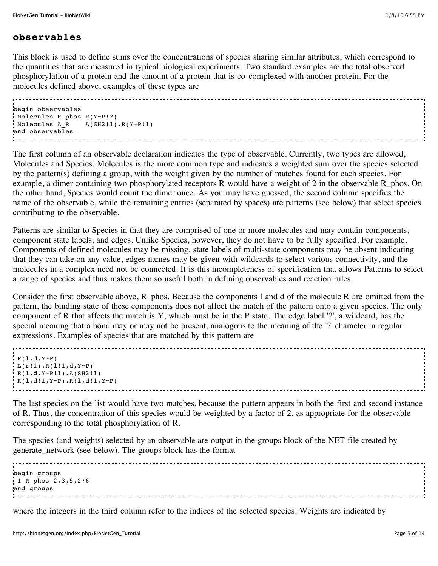# **observables**

This block is used to define sums over the concentrations of species sharing similar attributes, which correspond to the quantities that are measured in typical biological experiments. Two standard examples are the total observed phosphorylation of a protein and the amount of a protein that is co-complexed with another protein. For the molecules defined above, examples of these types are

```
begin observables
 Molecules R_phos R(Y~P!?)
Molecules A R A(SH2:1) . R(Y~P11)end observables
```
The first column of an observable declaration indicates the type of observable. Currently, two types are allowed, Molecules and Species. Molecules is the more common type and indicates a weighted sum over the species selected by the pattern(s) defining a group, with the weight given by the number of matches found for each species. For example, a dimer containing two phosphorylated receptors R would have a weight of 2 in the observable R\_phos. On the other hand, Species would count the dimer once. As you may have guessed, the second column specifies the name of the observable, while the remaining entries (separated by spaces) are patterns (see below) that select species contributing to the observable.

Patterns are similar to Species in that they are comprised of one or more molecules and may contain components, component state labels, and edges. Unlike Species, however, they do not have to be fully specified. For example, Components of defined molecules may be missing, state labels of multi-state components may be absent indicating that they can take on any value, edges names may be given with wildcards to select various connectivity, and the molecules in a complex need not be connected. It is this incompleteness of specification that allows Patterns to select a range of species and thus makes them so useful both in defining observables and reaction rules.

Consider the first observable above, R\_phos. Because the components 1 and d of the molecule R are omitted from the pattern, the binding state of these components does not affect the match of the pattern onto a given species. The only component of R that affects the match is Y, which must be in the P state. The edge label '?', a wildcard, has the special meaning that a bond may or may not be present, analogous to the meaning of the '?' character in regular expressions. Examples of species that are matched by this pattern are

```
R(1,d,Y-P)L(r!1).R(1!1,d,Y-P)R(1,d,Y~P11).A(SH211)R(1,d!1,Y-P).R(1,d!1,Y-P)
```
The last species on the list would have two matches, because the pattern appears in both the first and second instance of R. Thus, the concentration of this species would be weighted by a factor of 2, as appropriate for the observable corresponding to the total phosphorylation of R.

The species (and weights) selected by an observable are output in the groups block of the NET file created by generate\_network (see below). The groups block has the format

begin groups  $1 R$  phos 2,3,5,2\*6 end groups

where the integers in the third column refer to the indices of the selected species. Weights are indicated by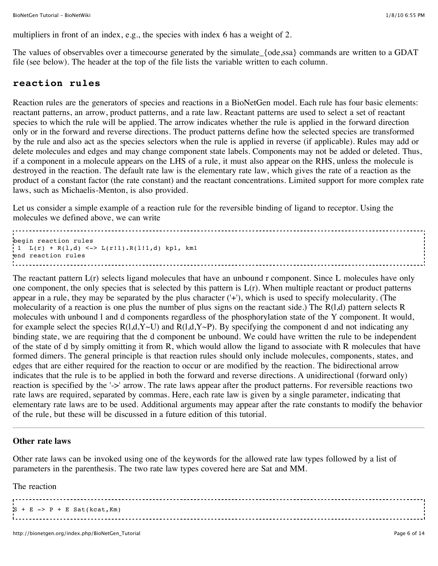multipliers in front of an index, e.g., the species with index 6 has a weight of 2.

The values of observables over a timecourse generated by the simulate {ode,ssa} commands are written to a GDAT file (see below). The header at the top of the file lists the variable written to each column.

## **reaction rules**

Reaction rules are the generators of species and reactions in a BioNetGen model. Each rule has four basic elements: reactant patterns, an arrow, product patterns, and a rate law. Reactant patterns are used to select a set of reactant species to which the rule will be applied. The arrow indicates whether the rule is applied in the forward direction only or in the forward and reverse directions. The product patterns define how the selected species are transformed by the rule and also act as the species selectors when the rule is applied in reverse (if applicable). Rules may add or delete molecules and edges and may change component state labels. Components may not be added or deleted. Thus, if a component in a molecule appears on the LHS of a rule, it must also appear on the RHS, unless the molecule is destroyed in the reaction. The default rate law is the elementary rate law, which gives the rate of a reaction as the product of a constant factor (the rate constant) and the reactant concentrations. Limited support for more complex rate laws, such as Michaelis-Menton, is also provided.

Let us consider a simple example of a reaction rule for the reversible binding of ligand to receptor. Using the molecules we defined above, we can write

begin reaction rules  $1 L(r) + R(1,d) \leq > L(r!1) \cdot R(1!1,d)$  kp1, km1 end reaction rules

The reactant pattern  $L(r)$  selects ligand molecules that have an unbound r component. Since L molecules have only one component, the only species that is selected by this pattern is  $L(r)$ . When multiple reactant or product patterns appear in a rule, they may be separated by the plus character ('+'), which is used to specify molecularity. (The molecularity of a reaction is one plus the number of plus signs on the reactant side.) The R(l,d) pattern selects R molecules with unbound l and d components regardless of the phosphorylation state of the Y component. It would, for example select the species  $R(1,d,Y\sim U)$  and  $R(1,d,Y\sim P)$ . By specifying the component d and not indicating any binding state, we are requiring that the d component be unbound. We could have written the rule to be independent of the state of d by simply omitting it from R, which would allow the ligand to associate with R molecules that have formed dimers. The general principle is that reaction rules should only include molecules, components, states, and edges that are either required for the reaction to occur or are modified by the reaction. The bidirectional arrow indicates that the rule is to be applied in both the forward and reverse directions. A unidirectional (forward only) reaction is specified by the '->' arrow. The rate laws appear after the product patterns. For reversible reactions two rate laws are required, separated by commas. Here, each rate law is given by a single parameter, indicating that elementary rate laws are to be used. Additional arguments may appear after the rate constants to modify the behavior of the rule, but these will be discussed in a future edition of this tutorial.

---------------------------------

#### **Other rate laws**

Other rate laws can be invoked using one of the keywords for the allowed rate law types followed by a list of parameters in the parenthesis. The two rate law types covered here are Sat and MM.

The reaction

 $S + E \rightarrow P + E$  Sat(kcat, Km)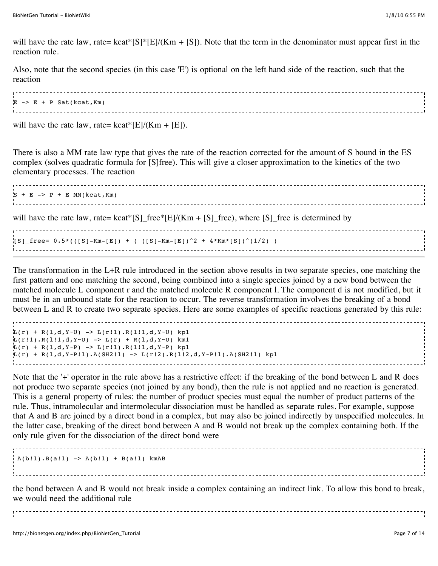will have the rate law, rate= kcat\*[S]\*[E]/(Km + [S]). Note that the term in the denominator must appear first in the reaction rule.

Also, note that the second species (in this case 'E') is optional on the left hand side of the reaction, such that the reaction

| $E \rightarrow E + P$ Sat(kcat, Km) |  |
|-------------------------------------|--|
|                                     |  |
|                                     |  |
|                                     |  |

will have the rate law, rate=  $kcat*[E]/(Km + [E])$ .

There is also a MM rate law type that gives the rate of the reaction corrected for the amount of S bound in the ES complex (solves quadratic formula for [S]free). This will give a closer approximation to the kinetics of the two elementary processes. The reaction

```
S + E \rightarrow P + E MM(kcat, Km)
will have the rate law, rate= kcat*[S]_free*[E]/(Km + [S]_free), where [S]_free is determined by
[SS] free= 0.5*(([S]-Km-[E]) + (([S]-Km-[E])^2 + 4*Km*[S])^(1/2) )
```
The transformation in the L+R rule introduced in the section above results in two separate species, one matching the first pattern and one matching the second, being combined into a single species joined by a new bond between the matched molecule L component r and the matched molecule R component l. The component d is not modified, but it must be in an unbound state for the reaction to occur. The reverse transformation involves the breaking of a bond between L and R to create two separate species. Here are some examples of specific reactions generated by this rule:

```
L(r) + R(1,d,Y^{\sim}U) -> L(r!1).R(1!1,d,Y^{\sim}U) kp1
L(r!1).R(1!1,d,Y-U) -> L(r) + R(1,d,Y-U) km1
L(r) + R(l,d,Y~P) -> L(r!1).R(l!1,d,Y~P) kp1
L(r) + R(1, d, Y^{\text{--}}P11).A(SH211) \rightarrow L(r12).R(112, d, Y^{\text{--}}P11).A(SH211) kp1
l a componente de la componente de la componente de la componente de la componente de la componente de la comp<br>La componente de la componente de la componente de la componente de la componente de la componente de la compo
```
Note that the '+' operator in the rule above has a restrictive effect: if the breaking of the bond between L and R does not produce two separate species (not joined by any bond), then the rule is not applied and no reaction is generated. This is a general property of rules: the number of product species must equal the number of product patterns of the rule. Thus, intramolecular and intermolecular dissociation must be handled as separate rules. For example, suppose that A and B are joined by a direct bond in a complex, but may also be joined indirectly by unspecified molecules. In the latter case, breaking of the direct bond between A and B would not break up the complex containing both. If the only rule given for the dissociation of the direct bond were

 $A(b!1) . B(a!1)$  ->  $A(b!1) + B(a!1)$  kmAB

the bond between A and B would not break inside a complex containing an indirect link. To allow this bond to break, we would need the additional rule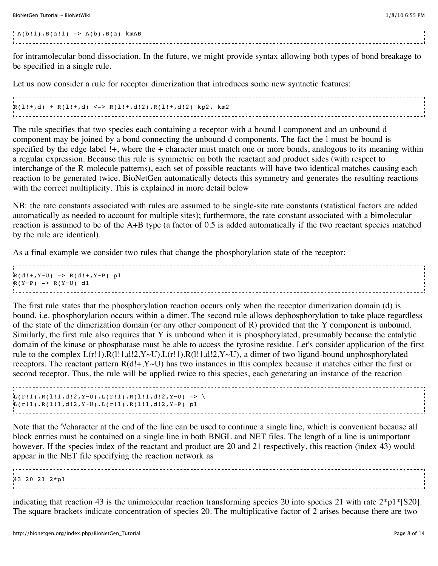BioNetGen Tutorial - BioNetWiki 1/8/10 6:55 PM

 $A(b!1).B(a!1) \rightarrow A(b).B(a)$  kmAB

for intramolecular bond dissociation. In the future, we might provide syntax allowing both types of bond breakage to be specified in a single rule.

Let us now consider a rule for receptor dimerization that introduces some new syntactic features:

 $R(1!+,d) + R(1!+,d) \leq R(1!+,d!2) \cdot R(1!+,d!2)$  kp2, km2 in a complete the complete state of the complete state of the complete state of the complete state of the complete state of the complete state of the complete state of the complete state of the complete state of the comple

The rule specifies that two species each containing a receptor with a bound l component and an unbound d component may be joined by a bond connecting the unbound d components. The fact the l must be bound is specified by the edge label !+, where the + character must match one or more bonds, analogous to its meaning within a regular expression. Because this rule is symmetric on both the reactant and product sides (with respect to interchange of the R molecule patterns), each set of possible reactants will have two identical matches causing each reaction to be generated twice. BioNetGen automatically detects this symmetry and generates the resulting reactions with the correct multiplicity. This is explained in more detail [below](http://bionetgen.org/index.php/BioNetGen_Tutorial#Symmetric_Reaction_Rules)

NB: the rate constants associated with rules are assumed to be single-site rate constants (statistical factors are added automatically as needed to account for multiple sites); furthermore, the rate constant associated with a bimolecular reaction is assumed to be of the A+B type (a factor of 0.5 is added automatically if the two reactant species matched by the rule are identical).

As a final example we consider two rules that change the phosphorylation state of the receptor:

| $R(d!+, Y \sim U) \rightarrow R(d!+, Y \sim P)$ p1 |  |
|----------------------------------------------------|--|
| $R(Y \sim P) \rightarrow R(Y \sim U)$ d1           |  |
|                                                    |  |
|                                                    |  |
|                                                    |  |

The first rule states that the phosphorylation reaction occurs only when the receptor dimerization domain (d) is bound, i.e. phosphorylation occurs within a dimer. The second rule allows dephosphorylation to take place regardless of the state of the dimerization domain (or any other component of R) provided that the Y component is unbound. Similarly, the first rule also requires that Y is unbound when it is phosphorylated, presumably because the catalytic domain of the kinase or phosphatase must be able to access the tyrosine residue. Let's consider application of the first rule to the complex  $L(r!1)$ .R(l!1,d!2,Y~U). $L(r!1)$ .R(l!1,d!2,Y~U), a dimer of two ligand-bound unphosphorylated receptors. The reactant pattern  $R(d!+, Y \sim U)$  has two instances in this complex because it matches either the first or second receptor. Thus, the rule will be applied twice to this species, each generating an instance of the reaction

```
L(r!1).R(1!1,d!2,Y=U).L(r!1).R(1!1,d!2,Y=U) -> \
L(r!1).R(l!1,d!2,Y~U).L(r!1).R(l!1,d!2,Y~P) p1
```
Note that the '\'character at the end of the line can be used to continue a single line, which is convenient because all block entries must be contained on a single line in both BNGL and NET files. The length of a line is unimportant however. If the species index of the reactant and product are 20 and 21 respectively, this reaction (index 43) would appear in the NET file specifying the reaction network as

43 20 21 2\*p1

indicating that reaction 43 is the unimolecular reaction transforming species 20 into species 21 with rate  $2*pi*[S20]$ . The square brackets indicate concentration of species 20. The multiplicative factor of 2 arises because there are two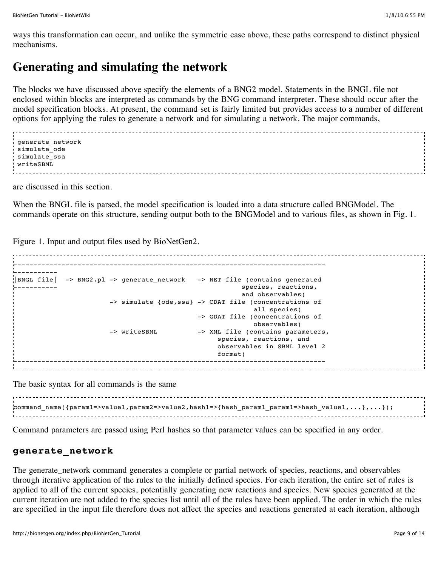ways this transformation can occur, and unlike the symmetric case above, these paths correspond to distinct physical mechanisms.

# **Generating and simulating the network**

The blocks we have discussed above specify the elements of a BNG2 model. Statements in the BNGL file not enclosed within blocks are interpreted as commands by the BNG command interpreter. These should occur after the model specification blocks. At present, the command set is fairly limited but provides access to a number of different options for applying the rules to generate a network and for simulating a network. The major commands,

```
 generate_network
 simulate_ode
 simulate_ssa
 writeSBML
```
are discussed in this section.

When the BNGL file is parsed, the model specification is loaded into a data structure called BNGModel. The commands operate on this structure, sending output both to the BNGModel and to various files, as shown in Fig. 1.

Figure 1. Input and output files used by BioNetGen2.

```
------------------------------------------------------------------------------
-----------
|BNGL file| -> BNG2.pl -> generate_network -> NET file (contains generated
                                            species, reactions,
                                             and observables)
                  -> simulate {ode,ssa} -> CDAT file (concentrations of
                                               all species)
                                     -> GDAT file (concentrations of 
                                                observables)
                  -> writeSBML -> XML file (contains parameters,
                                        species, reactions, and
                                         observables in SBML level 2
format)
```
The basic syntax for all commands is the same

 $\texttt{command}$  name({param1=>value1,param2=>value2,hash1=>{hash\_param1\_param1=>hash\_value1,...},...}); 

Command parameters are passed using Perl hashes so that parameter values can be specified in any order.

# **generate\_network**

The generate\_network command generates a complete or partial network of species, reactions, and observables through iterative application of the rules to the initially defined species. For each iteration, the entire set of rules is applied to all of the current species, potentially generating new reactions and species. New species generated at the current iteration are not added to the species list until all of the rules have been applied. The order in which the rules are specified in the input file therefore does not affect the species and reactions generated at each iteration, although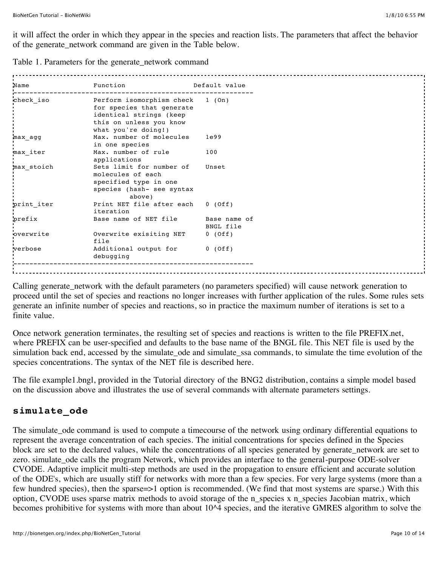it will affect the order in which they appear in the species and reaction lists. The parameters that affect the behavior of the generate\_network command are given in the Table below.

Table 1. Parameters for the generate\_network command

| Name       | Function                                                                                 | Default value |
|------------|------------------------------------------------------------------------------------------|---------------|
| check iso  | Perform isomorphism check 1 (On)<br>for species that generate<br>identical strings (keep |               |
|            | this on unless you know<br>what you're doing!)                                           |               |
| max agg    | Max. number of molecules<br>in one species                                               | 1e99          |
| max_iter   | Max. number of rule<br>applications                                                      | 100           |
| max stoich | Sets limit for number of<br>molecules of each                                            | Unset         |
|            | specified type in one                                                                    |               |
|            | species (hash- see syntax<br>above)                                                      |               |
| print iter | Print NET file after each 0 (Off)<br>iteration                                           |               |
| prefix     | Base name of NET file Base name of                                                       | BNGL file     |
| overwrite  | Overwrite exisiting NET                                                                  | 0 (Off)       |
| verbose    | file<br>Additional output for 0 (Off)                                                    |               |
|            | debugging                                                                                |               |
|            |                                                                                          |               |

Calling generate\_network with the default parameters (no parameters specified) will cause network generation to proceed until the set of species and reactions no longer increases with further application of the rules. Some rules sets generate an infinite number of species and reactions, so in practice the maximum number of iterations is set to a finite value.

Once network generation terminates, the resulting set of species and reactions is written to the file PREFIX.net, where PREFIX can be user-specified and defaults to the base name of the BNGL file. This NET file is used by the simulation back end, accessed by the simulate\_ode and simulate\_ssa commands, to simulate the time evolution of the species concentrations. The syntax of the NET file is described [here.](http://bionetgen.org/index.php/NET-file_Format)

The file example1.bngl, provided in the Tutorial directory of the BNG2 distribution, contains a simple model based on the discussion above and illustrates the use of several commands with alternate parameters settings.

# **simulate\_ode**

The simulate\_ode command is used to compute a timecourse of the network using ordinary differential equations to represent the average concentration of each species. The initial concentrations for species defined in the Species block are set to the declared values, while the concentrations of all species generated by generate\_network are set to zero. simulate\_ode calls the program Network, which provides an interface to the general-purpose ODE-solver CVODE. Adaptive implicit multi-step methods are used in the propagation to ensure efficient and accurate solution of the ODE's, which are usually stiff for networks with more than a few species. For very large systems (more than a few hundred species), then the sparse=>1 option is recommended. (We find that most systems are sparse.) With this option, CVODE uses sparse matrix methods to avoid storage of the n\_species x n\_species Jacobian matrix, which becomes prohibitive for systems with more than about 10^4 species, and the iterative GMRES algorithm to solve the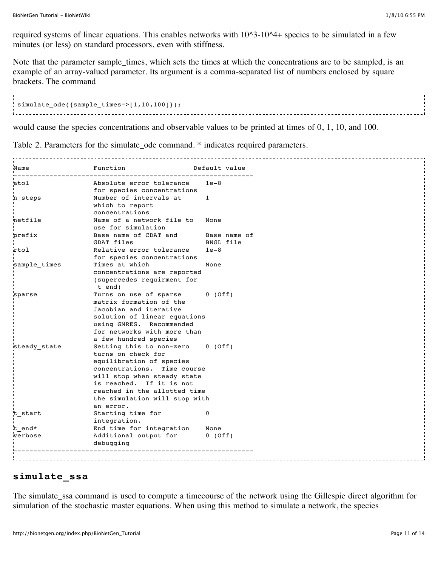required systems of linear equations. This enables networks with 10^3-10^4+ species to be simulated in a few minutes (or less) on standard processors, even with stiffness.

Note that the parameter sample\_times, which sets the times at which the concentrations are to be sampled, is an example of an array-valued parameter. Its argument is a comma-separated list of numbers enclosed by square brackets. The command

```
simulate_ode({sample_times=>[1,10,100]});
```
would cause the species concentrations and observable values to be printed at times of 0, 1, 10, and 100.

Table 2. Parameters for the simulate\_ode command. \* indicates required parameters.

| Name         | Function                                                | Default value |
|--------------|---------------------------------------------------------|---------------|
| atol         | Absolute error tolerance                                | $1e-8$        |
|              | for species concentrations                              |               |
| n steps      | Number of intervals at<br>which to report               | 1             |
|              | concentrations                                          |               |
| netfile      | Name of a network file to                               | None          |
|              | use for simulation                                      |               |
| prefix       | Base name of CDAT and                                   | Base name of  |
|              | GDAT files                                              | BNGL file     |
| rtol         | Relative error tolerance                                | $1e-8$        |
|              | for species concentrations                              |               |
| sample_times | Times at which                                          | None          |
|              | concentrations are reported                             |               |
|              | (supercedes requirment for                              |               |
|              | t end)                                                  |               |
| sparse       | Turns on use of sparse                                  | $0$ (Off)     |
|              | matrix formation of the                                 |               |
|              | Jacobian and iterative                                  |               |
|              | solution of linear equations                            |               |
|              | using GMRES. Recommended                                |               |
|              | for networks with more than                             |               |
|              | a few hundred species                                   |               |
| steady_state | Setting this to non-zero                                | $0$ (Off)     |
|              | turns on check for                                      |               |
|              | equilibration of species                                |               |
|              | concentrations. Time course                             |               |
|              | will stop when steady state<br>is reached. If it is not |               |
|              | reached in the allotted time                            |               |
|              | the simulation will stop with                           |               |
|              | an error.                                               |               |
| t start      | Starting time for                                       | $\mathbf{0}$  |
|              | integration.                                            |               |
| t end*       | End time for integration                                | None          |
| verbose      | Additional output for                                   | $0$ (Off)     |
|              | debugging                                               |               |
|              |                                                         |               |
|              |                                                         |               |

## **simulate\_ssa**

The simulate\_ssa command is used to compute a timecourse of the network using the Gillespie direct algorithm for simulation of the stochastic master equations. When using this method to simulate a network, the species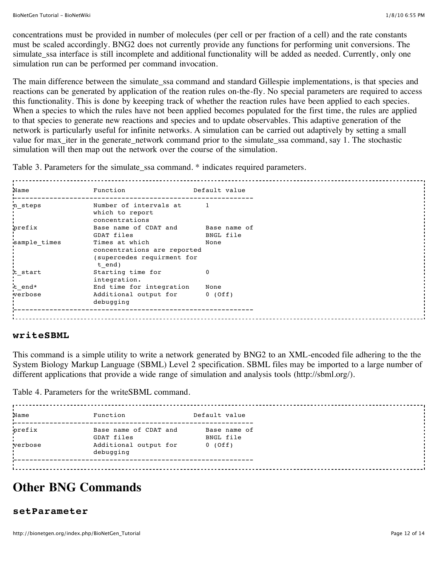concentrations must be provided in number of molecules (per cell or per fraction of a cell) and the rate constants must be scaled accordingly. BNG2 does not currently provide any functions for performing unit conversions. The simulate\_ssa interface is still incomplete and additional functionality will be added as needed. Currently, only one simulation run can be performed per command invocation.

The main difference between the simulate\_ssa command and standard Gillespie implementations, is that species and reactions can be generated by application of the reation rules on-the-fly. No special parameters are required to access this functionality. This is done by keeeping track of whether the reaction rules have been applied to each species. When a species to which the rules have not been applied becomes populated for the first time, the rules are applied to that species to generate new reactions and species and to update observables. This adaptive generation of the network is particularly useful for infinite networks. A simulation can be carried out adaptively by setting a small value for max\_iter in the generate\_network command prior to the simulate\_ssa command, say 1. The stochastic simulation will then map out the network over the course of the simulation.

Table 3. Parameters for the simulate\_ssa command. \* indicates required parameters.

| Name         | Function                                                                              | Default value |  |
|--------------|---------------------------------------------------------------------------------------|---------------|--|
| n steps      | Number of intervals at<br>which to report<br>concentrations                           |               |  |
| prefix       | Base name of CDAT and                                                                 | Base name of  |  |
|              | GDAT files                                                                            | BNGL file     |  |
| sample times | Times at which<br>concentrations are reported<br>(supercedes requirment for<br>t end) | None          |  |
| t start      | Starting time for<br>integration.                                                     | $\Omega$      |  |
| t end*       | End time for integration                                                              | None          |  |
| verbose      | Additional output for 0 (Off)<br>debugging                                            |               |  |
|              |                                                                                       |               |  |

### **writeSBML**

This command is a simple utility to write a network generated by BNG2 to an XML-encoded file adhering to the the System Biology Markup Language (SBML) Level 2 specification. SBML files may be imported to a large number of different applications that provide a wide range of simulation and analysis tools (<http://sbml.org/>).

Table 4. Parameters for the writeSBML command.

| Name    | Function                            | Default value             |
|---------|-------------------------------------|---------------------------|
| prefix  | Base name of CDAT and<br>GDAT files | Base name of<br>BNGL file |
| verbose | Additional output for<br>debugging  | $0$ (Off)                 |
|         |                                     |                           |

# **Other BNG Commands**

#### **setParameter**

http://bionetgen.org/index.php/BioNetGen\_Tutorial Page 12 of 14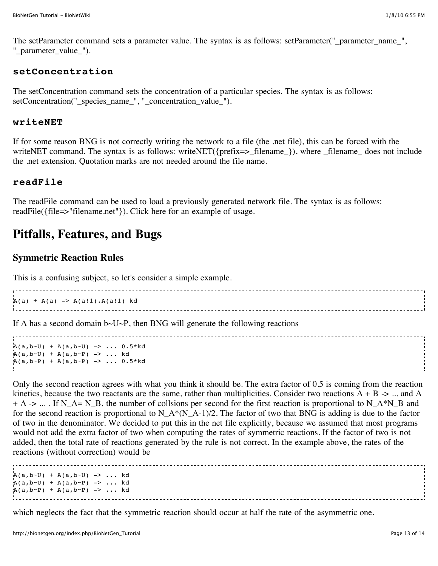The setParameter command sets a parameter value. The syntax is as follows: setParameter("\_parameter\_name\_", "\_parameter\_value\_").

### **setConcentration**

The setConcentration command sets the concentration of a particular species. The syntax is as follows: setConcentration("\_species\_name\_", "\_concentration\_value\_").

## **writeNET**

If for some reason BNG is not correctly writing the network to a file (the .net file), this can be forced with the writeNET command. The syntax is as follows: writeNET({prefix=>\_filename\_}), where \_filename\_ does not include the .net extension. Quotation marks are not needed around the file name.

## **readFile**

The readFile command can be used to load a previously generated network file. The syntax is as follows: readFile({file=>"filename.net"}). Click [here](http://bionetgen.org/index.php/BioNetGen_FAQ#Is_there_a_way_to_load_a_generated_network_in_a_bngl_file.2C_so_that_I_don.27t_have_to_run_generate_network_every_time_I_want_to_run_a_simulation.3F) for an example of usage.

# **Pitfalls, Features, and Bugs**

### **Symmetric Reaction Rules**

This is a confusing subject, so let's consider a simple example.

 $A(a) + A(a)$  ->  $A(a!1) \cdot A(a!1)$  kd 

If A has a second domain  $b\neg U\neg P$ , then BNG will generate the following reactions

 $A(a,b-U) + A(a,b-U)$  -> ... 0.5\*kd  $A(a, b - U) + A(a, b - P)$  -> ... kd  $A(a,b-P) + A(a,b-P) - > ... 0.5*kd$ 

Only the second reaction agrees with what you think it should be. The extra factor of 0.5 is coming from the reaction kinetics, because the two reactants are the same, rather than multiplicities. Consider two reactions  $A + B \rightarrow \dots$  and A  $+ A \rightarrow ...$  If N\_A= N\_B, the number of collsions per second for the first reaction is proportional to N\_A\*N\_B and for the second reaction is proportional to  $N_A*(N_A-1)/2$ . The factor of two that BNG is adding is due to the factor of two in the denominator. We decided to put this in the net file explicitly, because we assumed that most programs would not add the extra factor of two when computing the rates of symmetric reactions. If the factor of two is not added, then the total rate of reactions generated by the rule is not correct. In the example above, the rates of the reactions (without correction) would be

 $A(a,b-U) + A(a,b-U) - > ...$  kd  $A(a, b - U) + A(a, b - P)$  -> ... kd  $A(a,b-P) + A(a,b-P) - \cdots$  kd ------------------------------

which neglects the fact that the symmetric reaction should occur at half the rate of the asymmetric one.